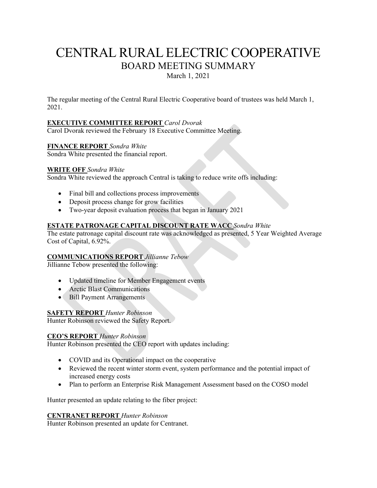# CENTRAL RURAL ELECTRIC COOPERATIVE BOARD MEETING SUMMARY

March 1, 2021

The regular meeting of the Central Rural Electric Cooperative board of trustees was held March 1, 2021.

# **EXECUTIVE COMMITTEE REPORT** *Carol Dvorak*

Carol Dvorak reviewed the February 18 Executive Committee Meeting.

# **FINANCE REPORT** *Sondra White*

Sondra White presented the financial report.

#### **WRITE OFF** *Sondra White*

Sondra White reviewed the approach Central is taking to reduce write offs including:

- Final bill and collections process improvements
- Deposit process change for grow facilities
- Two-year deposit evaluation process that began in January 2021

# **ESTATE PATRONAGE CAPITAL DISCOUNT RATE WACC** *Sondra White*

The estate patronage capital discount rate was acknowledged as presented, 5 Year Weighted Average Cost of Capital, 6.92%.

#### **COMMUNICATIONS REPORT** *Jillianne Tebow*

Jillianne Tebow presented the following:

- Updated timeline for Member Engagement events
- Arctic Blast Communications
- Bill Payment Arrangements

# **SAFETY REPORT** *Hunter Robinson*

Hunter Robinson reviewed the Safety Report.

# **CEO'S REPORT** *Hunter Robinson*

Hunter Robinson presented the CEO report with updates including:

- COVID and its Operational impact on the cooperative
- Reviewed the recent winter storm event, system performance and the potential impact of increased energy costs
- Plan to perform an Enterprise Risk Management Assessment based on the COSO model

Hunter presented an update relating to the fiber project:

#### **CENTRANET REPORT** *Hunter Robinson*

Hunter Robinson presented an update for Centranet.